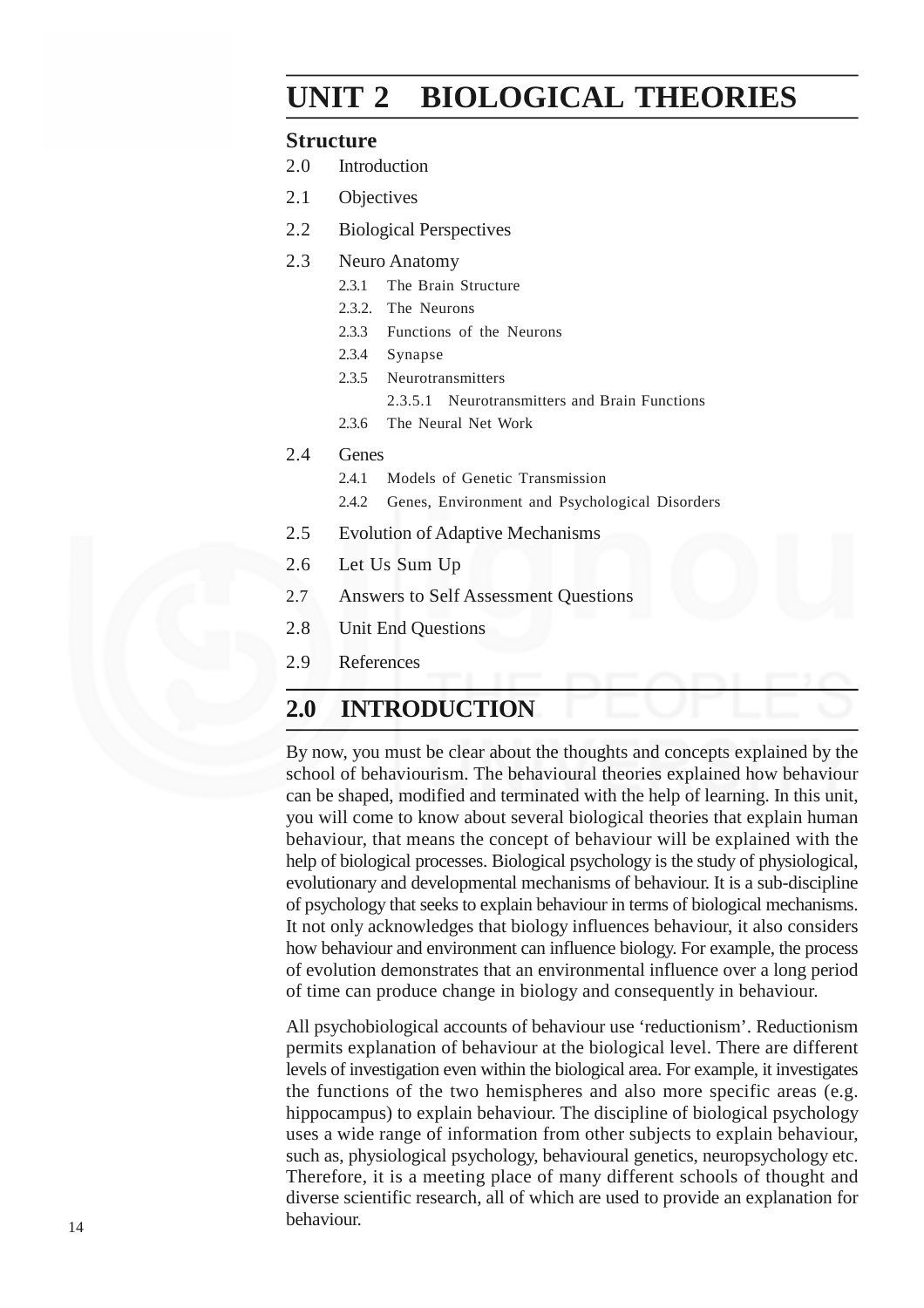# **UNIT 2 BIOLOGICAL THEORIES**

#### **Structure**

- 2.0 Introduction
- 2.1 Objectives
- 2.2 Biological Perspectives
- 2.3 Neuro Anatomy
	- 2.3.1 The Brain Structure
	- 2.3.2. The Neurons
	- 2.3.3 Functions of the Neurons
	- 2.3.4 Synapse
	- 2.3.5 Neurotransmitters
		- 2.3.5.1 Neurotransmitters and Brain Functions
	- 2.3.6 The Neural Net Work
- 2.4 Genes
	- 2.4.1 Models of Genetic Transmission
	- 2.4.2 Genes, Environment and Psychological Disorders
- 2.5 Evolution of Adaptive Mechanisms
- 2.6 Let Us Sum Up
- 2.7 Answers to Self Assessment Questions
- 2.8 Unit End Questions
- 2.9 References

# **2.0 INTRODUCTION**

By now, you must be clear about the thoughts and concepts explained by the school of behaviourism. The behavioural theories explained how behaviour can be shaped, modified and terminated with the help of learning. In this unit, you will come to know about several biological theories that explain human behaviour, that means the concept of behaviour will be explained with the help of biological processes. Biological psychology is the study of physiological, evolutionary and developmental mechanisms of behaviour. It is a sub-discipline of psychology that seeks to explain behaviour in terms of biological mechanisms. It not only acknowledges that biology influences behaviour, it also considers how behaviour and environment can influence biology. For example, the process of evolution demonstrates that an environmental influence over a long period of time can produce change in biology and consequently in behaviour.

All psychobiological accounts of behaviour use 'reductionism'. Reductionism permits explanation of behaviour at the biological level. There are different levels of investigation even within the biological area. For example, it investigates the functions of the two hemispheres and also more specific areas (e.g. hippocampus) to explain behaviour. The discipline of biological psychology uses a wide range of information from other subjects to explain behaviour, such as, physiological psychology, behavioural genetics, neuropsychology etc. Therefore, it is a meeting place of many different schools of thought and diverse scientific research, all of which are used to provide an explanation for behaviour.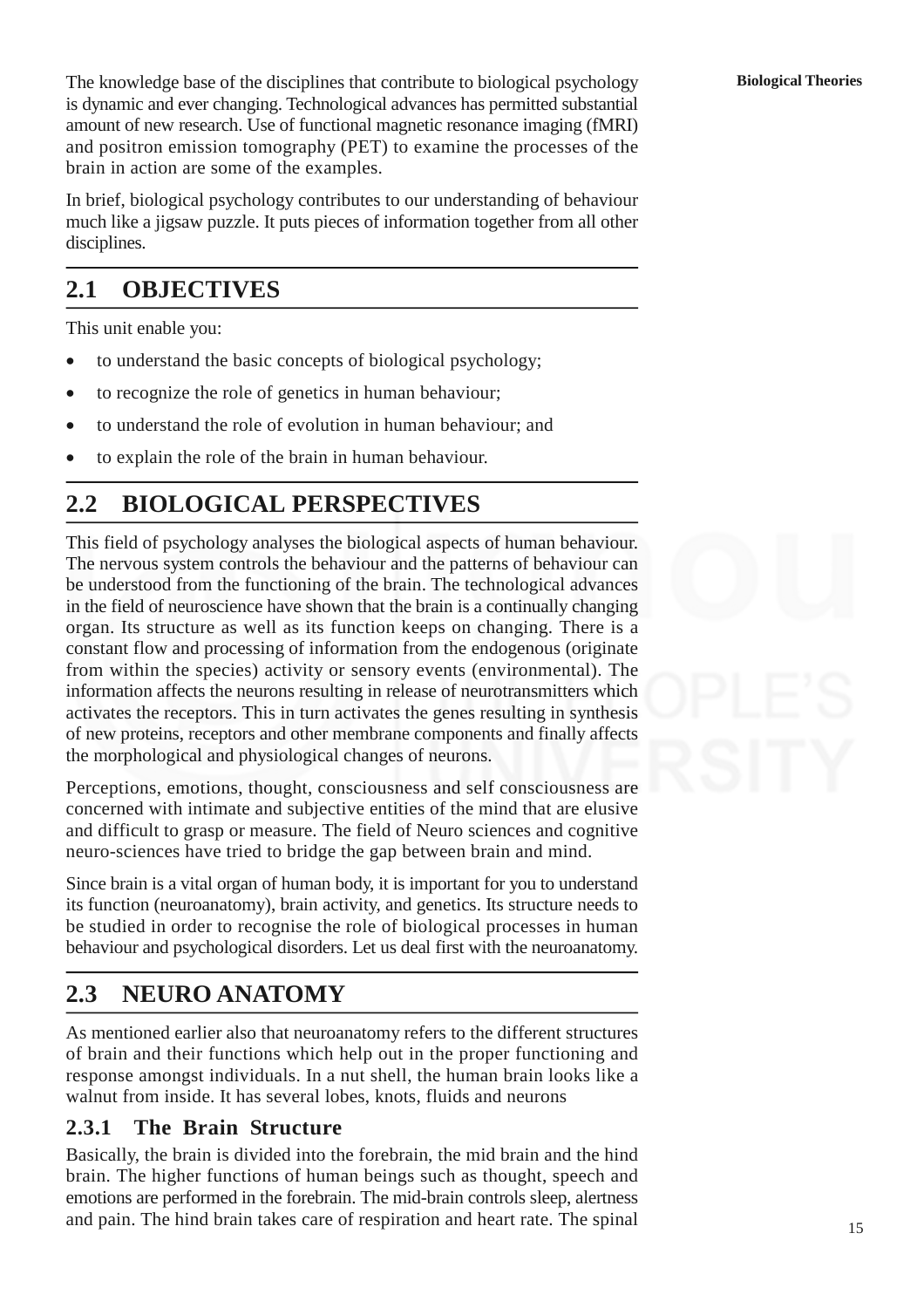The knowledge base of the disciplines that contribute to biological psychology is dynamic and ever changing. Technological advances has permitted substantial amount of new research. Use of functional magnetic resonance imaging (fMRI) and positron emission tomography (PET) to examine the processes of the brain in action are some of the examples.

In brief, biological psychology contributes to our understanding of behaviour much like a jigsaw puzzle. It puts pieces of information together from all other disciplines.

# **2.1 OBJECTIVES**

This unit enable you:

- to understand the basic concepts of biological psychology;
- to recognize the role of genetics in human behaviour;
- to understand the role of evolution in human behaviour; and
- to explain the role of the brain in human behaviour.

# **2.2 BIOLOGICAL PERSPECTIVES**

This field of psychology analyses the biological aspects of human behaviour. The nervous system controls the behaviour and the patterns of behaviour can be understood from the functioning of the brain. The technological advances in the field of neuroscience have shown that the brain is a continually changing organ. Its structure as well as its function keeps on changing. There is a constant flow and processing of information from the endogenous (originate from within the species) activity or sensory events (environmental). The information affects the neurons resulting in release of neurotransmitters which activates the receptors. This in turn activates the genes resulting in synthesis of new proteins, receptors and other membrane components and finally affects the morphological and physiological changes of neurons.

Perceptions, emotions, thought, consciousness and self consciousness are concerned with intimate and subjective entities of the mind that are elusive and difficult to grasp or measure. The field of Neuro sciences and cognitive neuro-sciences have tried to bridge the gap between brain and mind.

Since brain is a vital organ of human body, it is important for you to understand its function (neuroanatomy), brain activity, and genetics. Its structure needs to be studied in order to recognise the role of biological processes in human behaviour and psychological disorders. Let us deal first with the neuroanatomy.

# **2.3 NEURO ANATOMY**

As mentioned earlier also that neuroanatomy refers to the different structures of brain and their functions which help out in the proper functioning and response amongst individuals. In a nut shell, the human brain looks like a walnut from inside. It has several lobes, knots, fluids and neurons

## **2.3.1 The Brain Structure**

Basically, the brain is divided into the forebrain, the mid brain and the hind brain. The higher functions of human beings such as thought, speech and emotions are performed in the forebrain. The mid-brain controls sleep, alertness and pain. The hind brain takes care of respiration and heart rate. The spinal

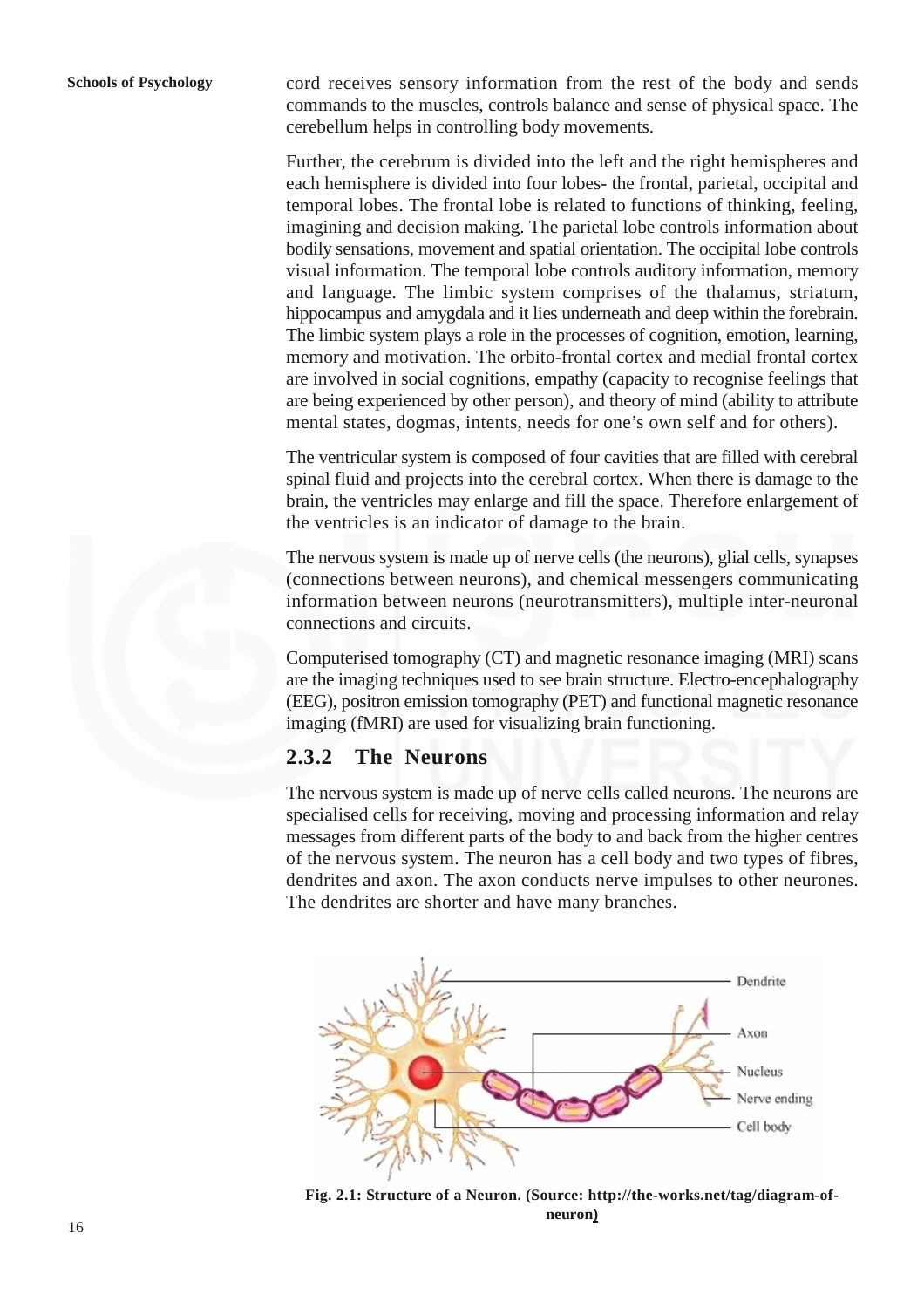cord receives sensory information from the rest of the body and sends commands to the muscles, controls balance and sense of physical space. The cerebellum helps in controlling body movements.

Further, the cerebrum is divided into the left and the right hemispheres and each hemisphere is divided into four lobes- the frontal, parietal, occipital and temporal lobes. The frontal lobe is related to functions of thinking, feeling, imagining and decision making. The parietal lobe controls information about bodily sensations, movement and spatial orientation. The occipital lobe controls visual information. The temporal lobe controls auditory information, memory and language. The limbic system comprises of the thalamus, striatum, hippocampus and amygdala and it lies underneath and deep within the forebrain. The limbic system plays a role in the processes of cognition, emotion, learning, memory and motivation. The orbito-frontal cortex and medial frontal cortex are involved in social cognitions, empathy (capacity to recognise feelings that are being experienced by other person), and theory of mind (ability to attribute mental states, dogmas, intents, needs for one's own self and for others).

The ventricular system is composed of four cavities that are filled with cerebral spinal fluid and projects into the cerebral cortex. When there is damage to the brain, the ventricles may enlarge and fill the space. Therefore enlargement of the ventricles is an indicator of damage to the brain.

The nervous system is made up of nerve cells (the neurons), glial cells, synapses (connections between neurons), and chemical messengers communicating information between neurons (neurotransmitters), multiple inter-neuronal connections and circuits.

Computerised tomography (CT) and magnetic resonance imaging (MRI) scans are the imaging techniques used to see brain structure. Electro-encephalography (EEG), positron emission tomography (PET) and functional magnetic resonance imaging (fMRI) are used for visualizing brain functioning.

## **2.3.2 The Neurons**

The nervous system is made up of nerve cells called neurons. The neurons are specialised cells for receiving, moving and processing information and relay messages from different parts of the body to and back from the higher centres of the nervous system. The neuron has a cell body and two types of fibres, dendrites and axon. The axon conducts nerve impulses to other neurones. The dendrites are shorter and have many branches.



**Fig. 2.1: Structure of a Neuron. (Source: http://the-works.net/tag/diagram-ofneuron)**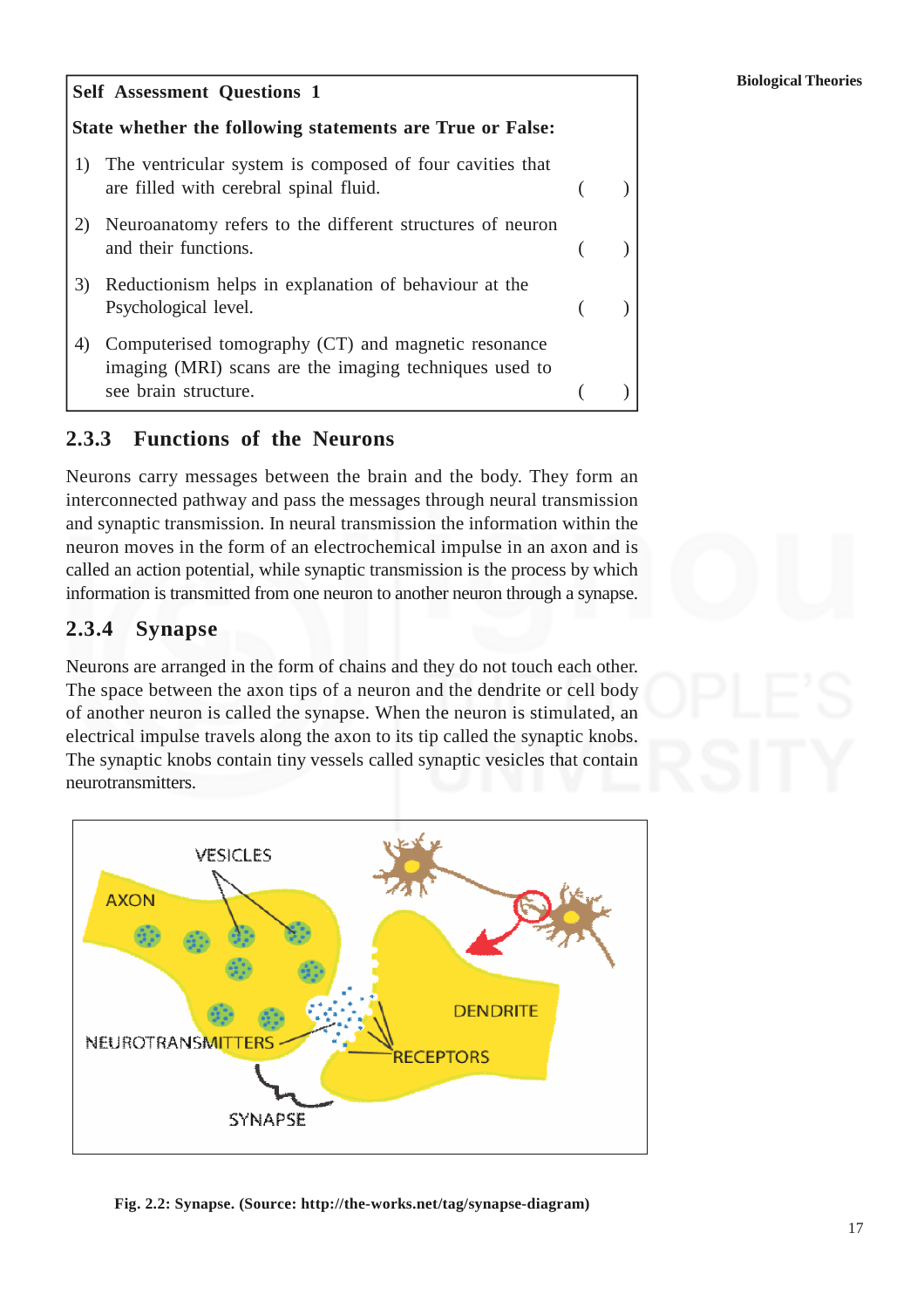#### **Self Assessment Questions 1**

### **State whether the following statements are True or False:**

- 1) The ventricular system is composed of four cavities that are filled with cerebral spinal fluid. (a)
- 2) Neuroanatomy refers to the different structures of neuron and their functions. (a)
- 3) Reductionism helps in explanation of behaviour at the Psychological level. (a)
- 4) Computerised tomography (CT) and magnetic resonance imaging (MRI) scans are the imaging techniques used to see brain structure.

## **2.3.3 Functions of the Neurons**

Neurons carry messages between the brain and the body. They form an interconnected pathway and pass the messages through neural transmission and synaptic transmission. In neural transmission the information within the neuron moves in the form of an electrochemical impulse in an axon and is called an action potential, while synaptic transmission is the process by which information is transmitted from one neuron to another neuron through a synapse.

### **2.3.4 Synapse**

Neurons are arranged in the form of chains and they do not touch each other. The space between the axon tips of a neuron and the dendrite or cell body of another neuron is called the synapse. When the neuron is stimulated, an electrical impulse travels along the axon to its tip called the synaptic knobs. The synaptic knobs contain tiny vessels called synaptic vesicles that contain neurotransmitters.



**Fig. 2.2: Synapse. (Source: http://the-works.net/tag/synapse-diagram)**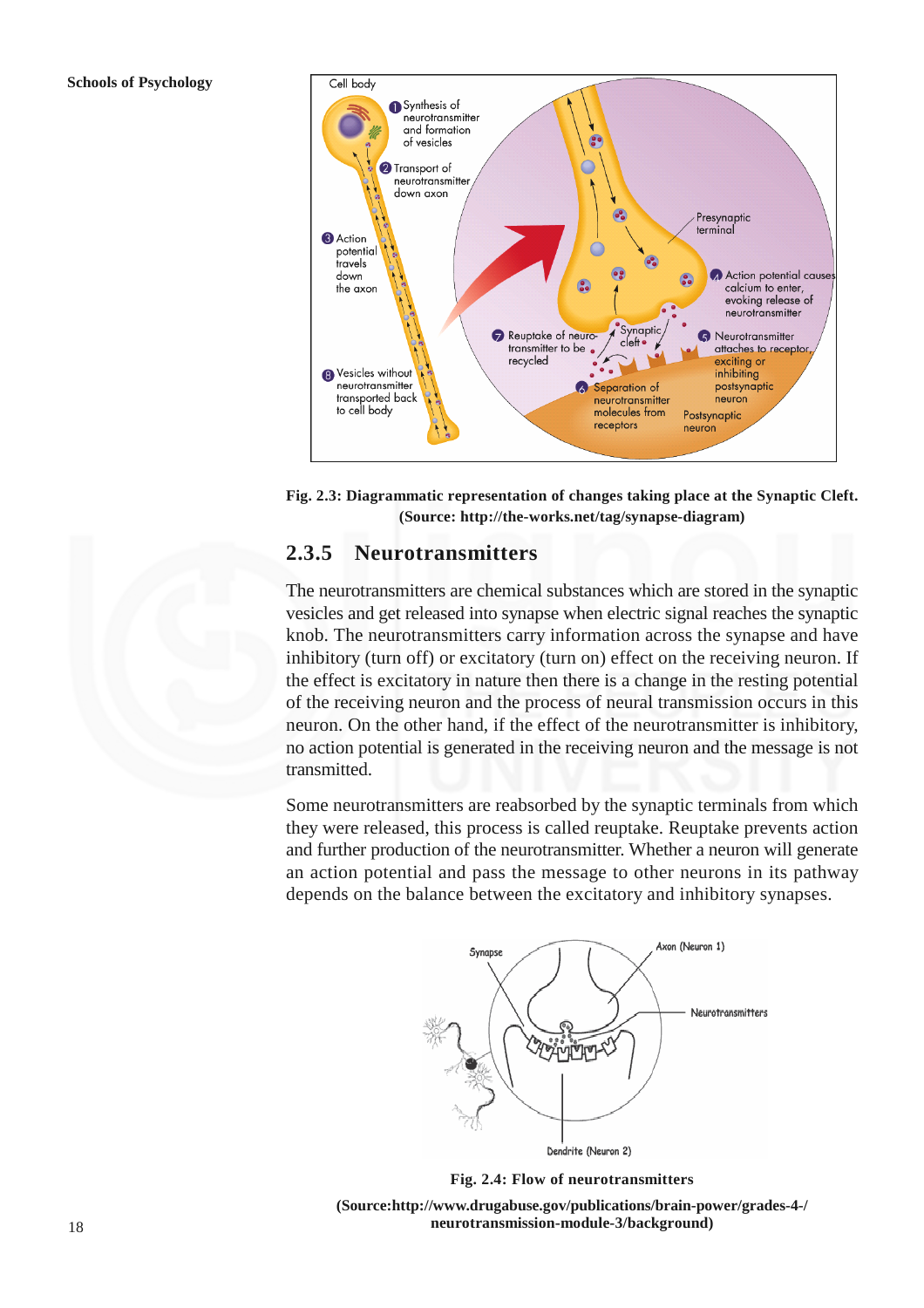

**Fig. 2.3: Diagrammatic representation of changes taking place at the Synaptic Cleft. (Source: http://the-works.net/tag/synapse-diagram)**

## **2.3.5 Neurotransmitters**

The neurotransmitters are chemical substances which are stored in the synaptic vesicles and get released into synapse when electric signal reaches the synaptic knob. The neurotransmitters carry information across the synapse and have inhibitory (turn off) or excitatory (turn on) effect on the receiving neuron. If the effect is excitatory in nature then there is a change in the resting potential of the receiving neuron and the process of neural transmission occurs in this neuron. On the other hand, if the effect of the neurotransmitter is inhibitory, no action potential is generated in the receiving neuron and the message is not transmitted.

Some neurotransmitters are reabsorbed by the synaptic terminals from which they were released, this process is called reuptake. Reuptake prevents action and further production of the neurotransmitter. Whether a neuron will generate an action potential and pass the message to other neurons in its pathway depends on the balance between the excitatory and inhibitory synapses.



**Fig. 2.4: Flow of neurotransmitters**

**(Source:http://www.drugabuse.gov/publications/brain-power/grades-4-/ neurotransmission-module-3/background)**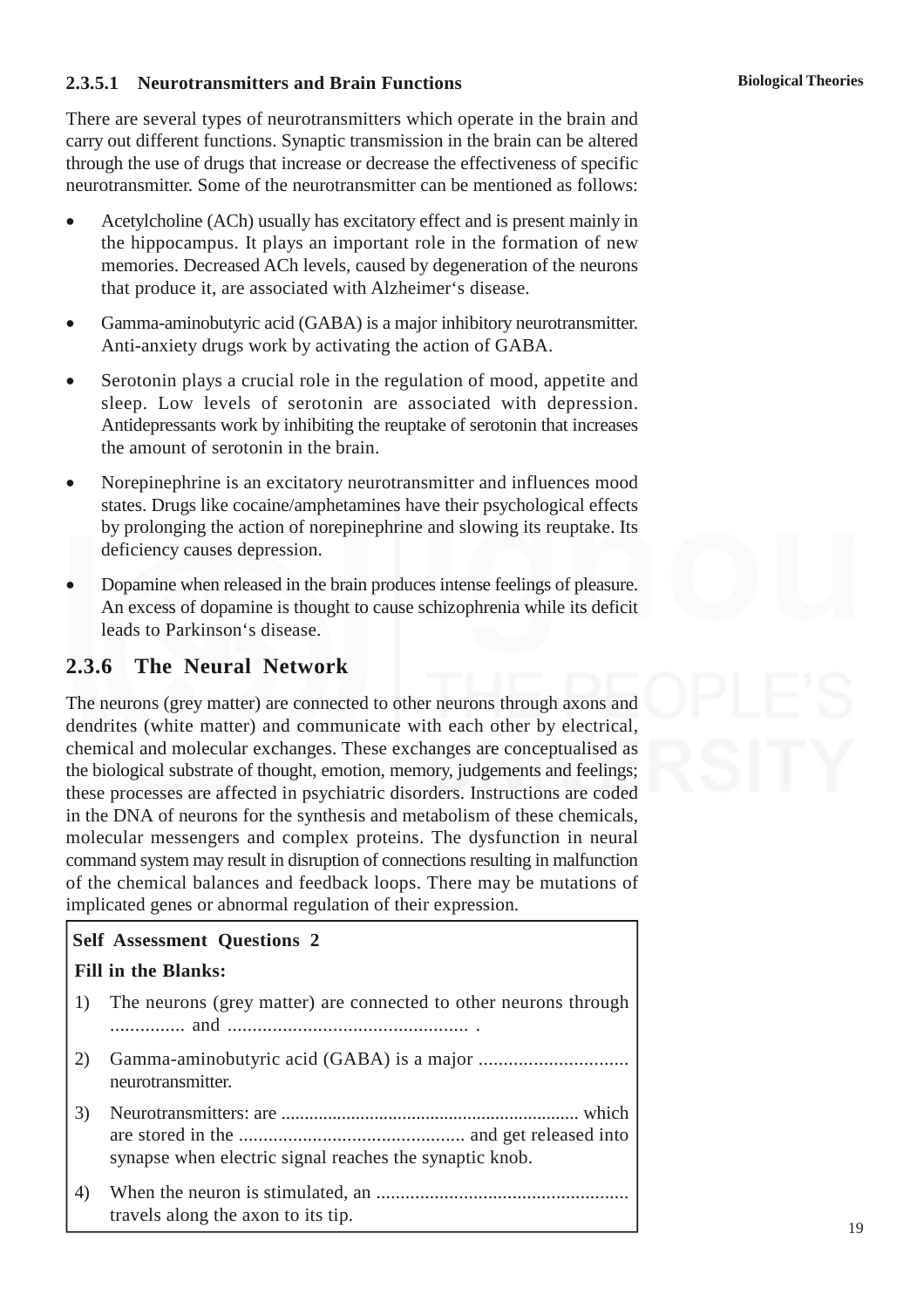#### **Biological Theories**

### **2.3.5.1 Neurotransmitters and Brain Functions**

There are several types of neurotransmitters which operate in the brain and carry out different functions. Synaptic transmission in the brain can be altered through the use of drugs that increase or decrease the effectiveness of specific neurotransmitter. Some of the neurotransmitter can be mentioned as follows:

- Acetylcholine (ACh) usually has excitatory effect and is present mainly in the hippocampus. It plays an important role in the formation of new memories. Decreased ACh levels, caused by degeneration of the neurons that produce it, are associated with Alzheimer's disease.
- Gamma-aminobutyric acid (GABA) is a major inhibitory neurotransmitter. Anti-anxiety drugs work by activating the action of GABA.
- Serotonin plays a crucial role in the regulation of mood, appetite and sleep. Low levels of serotonin are associated with depression. Antidepressants work by inhibiting the reuptake of serotonin that increases the amount of serotonin in the brain.
- Norepinephrine is an excitatory neurotransmitter and influences mood states. Drugs like cocaine/amphetamines have their psychological effects by prolonging the action of norepinephrine and slowing its reuptake. Its deficiency causes depression.
- Dopamine when released in the brain produces intense feelings of pleasure. An excess of dopamine is thought to cause schizophrenia while its deficit leads to Parkinson's disease.

## **2.3.6 The Neural Network**

The neurons (grey matter) are connected to other neurons through axons and dendrites (white matter) and communicate with each other by electrical, chemical and molecular exchanges. These exchanges are conceptualised as the biological substrate of thought, emotion, memory, judgements and feelings; these processes are affected in psychiatric disorders. Instructions are coded in the DNA of neurons for the synthesis and metabolism of these chemicals, molecular messengers and complex proteins. The dysfunction in neural command system may result in disruption of connections resulting in malfunction of the chemical balances and feedback loops. There may be mutations of implicated genes or abnormal regulation of their expression.

# **Self Assessment Questions 2 Fill in the Blanks:** 1) The neurons (grey matter) are connected to other neurons through ............... and ................................................ . 2) Gamma-aminobutyric acid (GABA) is a major ................................... neurotransmitter. 3) Neurotransmitters: are ................................................................ which are stored in the .............................................. and get released into synapse when electric signal reaches the synaptic knob. 4) When the neuron is stimulated, an .................................................... travels along the axon to its tip.

19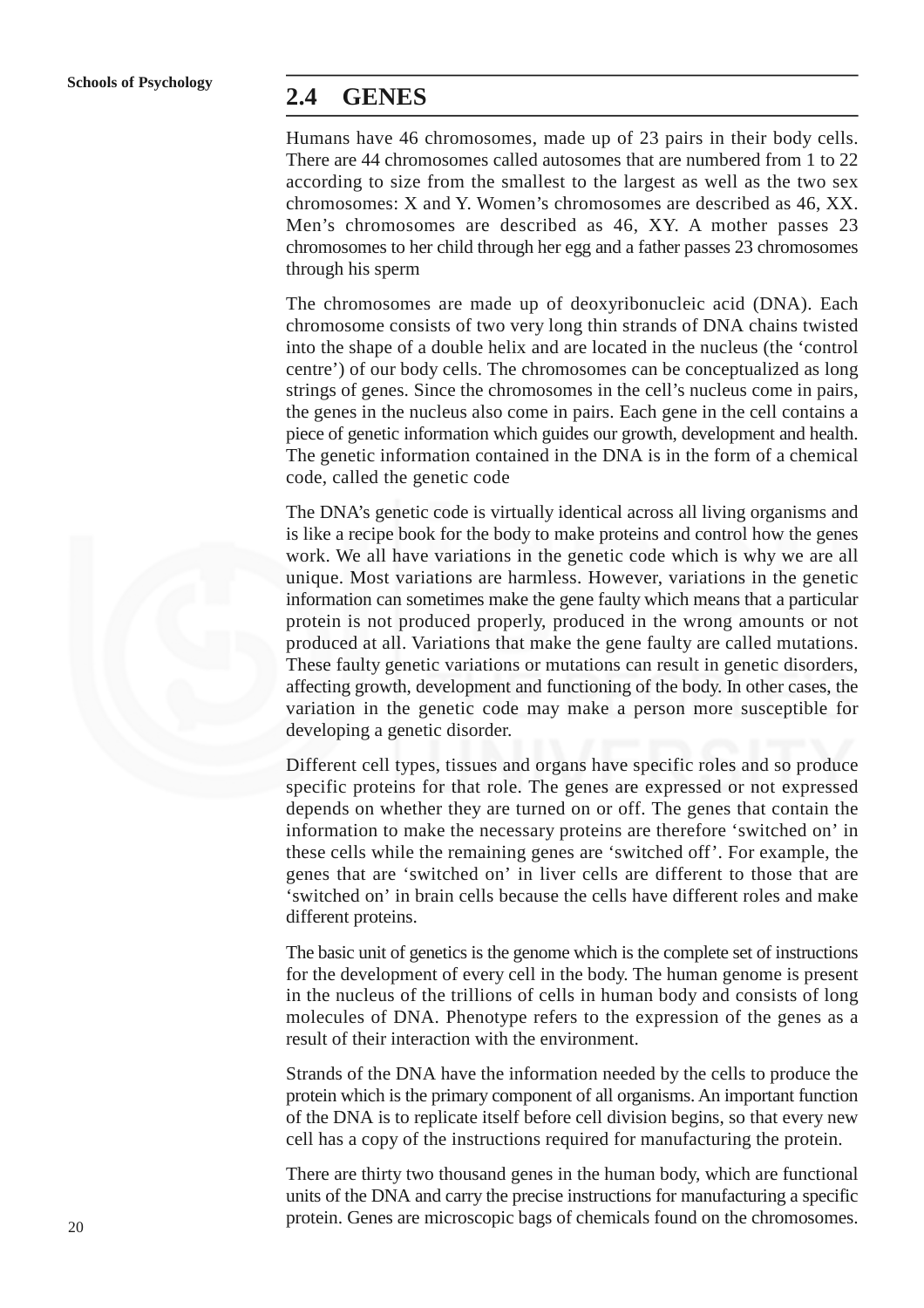### **2.4 GENES**

Humans have 46 chromosomes, made up of 23 pairs in their body cells. There are 44 chromosomes called autosomes that are numbered from 1 to 22 according to size from the smallest to the largest as well as the two sex chromosomes: X and Y. Women's chromosomes are described as 46, XX. Men's chromosomes are described as 46, XY. A mother passes 23 chromosomes to her child through her egg and a father passes 23 chromosomes through his sperm

The chromosomes are made up of deoxyribonucleic acid (DNA). Each chromosome consists of two very long thin strands of DNA chains twisted into the shape of a double helix and are located in the nucleus (the 'control centre') of our body cells. The chromosomes can be conceptualized as long strings of genes. Since the chromosomes in the cell's nucleus come in pairs, the genes in the nucleus also come in pairs. Each gene in the cell contains a piece of genetic information which guides our growth, development and health. The genetic information contained in the DNA is in the form of a chemical code, called the genetic code

The DNA's genetic code is virtually identical across all living organisms and is like a recipe book for the body to make proteins and control how the genes work. We all have variations in the genetic code which is why we are all unique. Most variations are harmless. However, variations in the genetic information can sometimes make the gene faulty which means that a particular protein is not produced properly, produced in the wrong amounts or not produced at all. Variations that make the gene faulty are called mutations. These faulty genetic variations or mutations can result in genetic disorders, affecting growth, development and functioning of the body. In other cases, the variation in the genetic code may make a person more susceptible for developing a genetic disorder.

Different cell types, tissues and organs have specific roles and so produce specific proteins for that role. The genes are expressed or not expressed depends on whether they are turned on or off. The genes that contain the information to make the necessary proteins are therefore 'switched on' in these cells while the remaining genes are 'switched off'. For example, the genes that are 'switched on' in liver cells are different to those that are 'switched on' in brain cells because the cells have different roles and make different proteins.

The basic unit of genetics is the genome which is the complete set of instructions for the development of every cell in the body. The human genome is present in the nucleus of the trillions of cells in human body and consists of long molecules of DNA. Phenotype refers to the expression of the genes as a result of their interaction with the environment.

Strands of the DNA have the information needed by the cells to produce the protein which is the primary component of all organisms. An important function of the DNA is to replicate itself before cell division begins, so that every new cell has a copy of the instructions required for manufacturing the protein.

There are thirty two thousand genes in the human body, which are functional units of the DNA and carry the precise instructions for manufacturing a specific protein. Genes are microscopic bags of chemicals found on the chromosomes.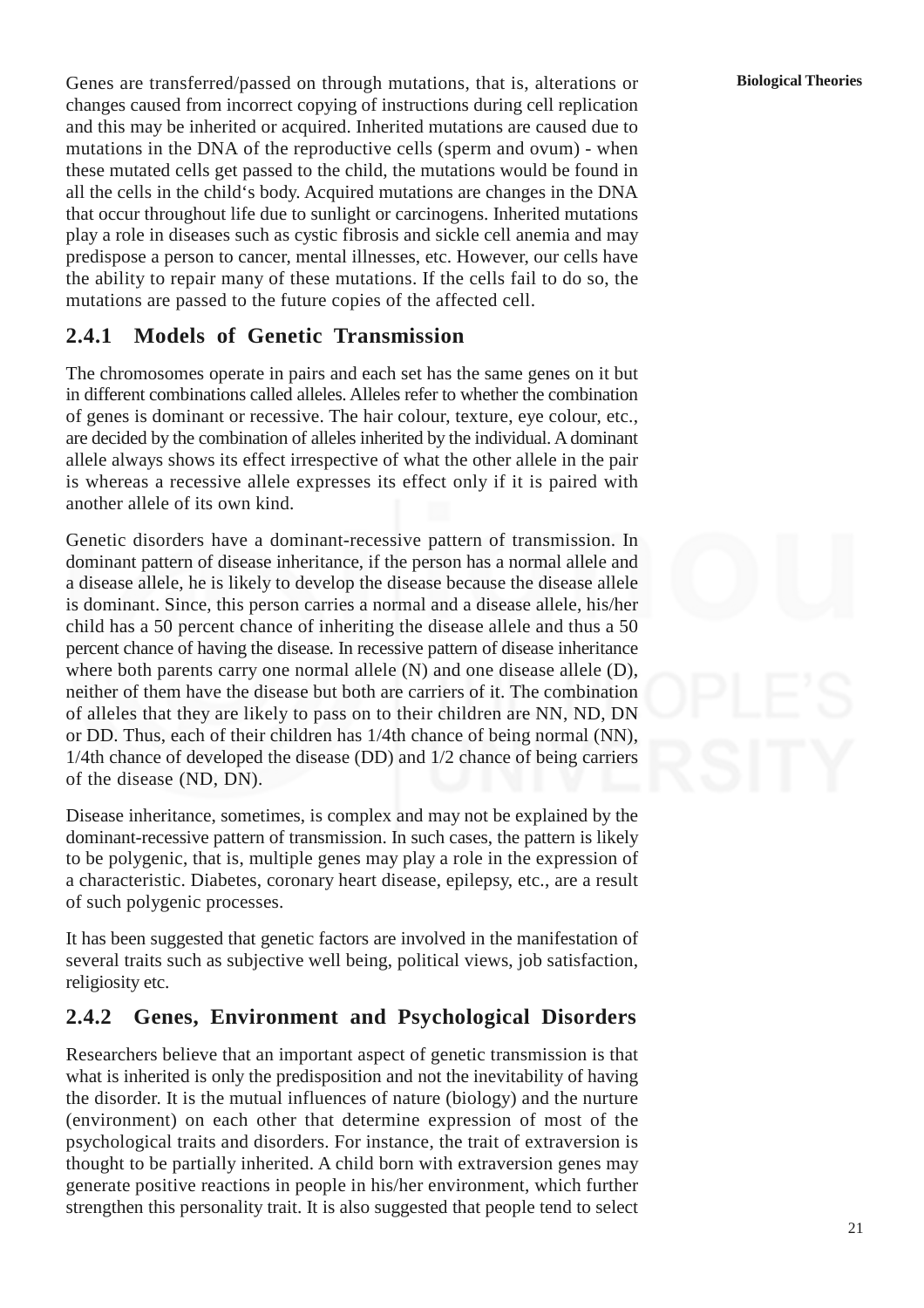Genes are transferred/passed on through mutations, that is, alterations or changes caused from incorrect copying of instructions during cell replication and this may be inherited or acquired. Inherited mutations are caused due to mutations in the DNA of the reproductive cells (sperm and ovum) - when these mutated cells get passed to the child, the mutations would be found in all the cells in the child's body. Acquired mutations are changes in the DNA that occur throughout life due to sunlight or carcinogens. Inherited mutations play a role in diseases such as cystic fibrosis and sickle cell anemia and may predispose a person to cancer, mental illnesses, etc. However, our cells have the ability to repair many of these mutations. If the cells fail to do so, the mutations are passed to the future copies of the affected cell.

## **2.4.1 Models of Genetic Transmission**

The chromosomes operate in pairs and each set has the same genes on it but in different combinations called alleles. Alleles refer to whether the combination of genes is dominant or recessive. The hair colour, texture, eye colour, etc., are decided by the combination of alleles inherited by the individual. A dominant allele always shows its effect irrespective of what the other allele in the pair is whereas a recessive allele expresses its effect only if it is paired with another allele of its own kind.

Genetic disorders have a dominant-recessive pattern of transmission. In dominant pattern of disease inheritance, if the person has a normal allele and a disease allele, he is likely to develop the disease because the disease allele is dominant. Since, this person carries a normal and a disease allele, his/her child has a 50 percent chance of inheriting the disease allele and thus a 50 percent chance of having the disease. In recessive pattern of disease inheritance where both parents carry one normal allele (N) and one disease allele (D), neither of them have the disease but both are carriers of it. The combination of alleles that they are likely to pass on to their children are NN, ND, DN or DD. Thus, each of their children has 1/4th chance of being normal (NN), 1/4th chance of developed the disease (DD) and 1/2 chance of being carriers of the disease (ND, DN).

Disease inheritance, sometimes, is complex and may not be explained by the dominant-recessive pattern of transmission. In such cases, the pattern is likely to be polygenic, that is, multiple genes may play a role in the expression of a characteristic. Diabetes, coronary heart disease, epilepsy, etc., are a result of such polygenic processes.

It has been suggested that genetic factors are involved in the manifestation of several traits such as subjective well being, political views, job satisfaction, religiosity etc.

## **2.4.2 Genes, Environment and Psychological Disorders**

Researchers believe that an important aspect of genetic transmission is that what is inherited is only the predisposition and not the inevitability of having the disorder. It is the mutual influences of nature (biology) and the nurture (environment) on each other that determine expression of most of the psychological traits and disorders. For instance, the trait of extraversion is thought to be partially inherited. A child born with extraversion genes may generate positive reactions in people in his/her environment, which further strengthen this personality trait. It is also suggested that people tend to select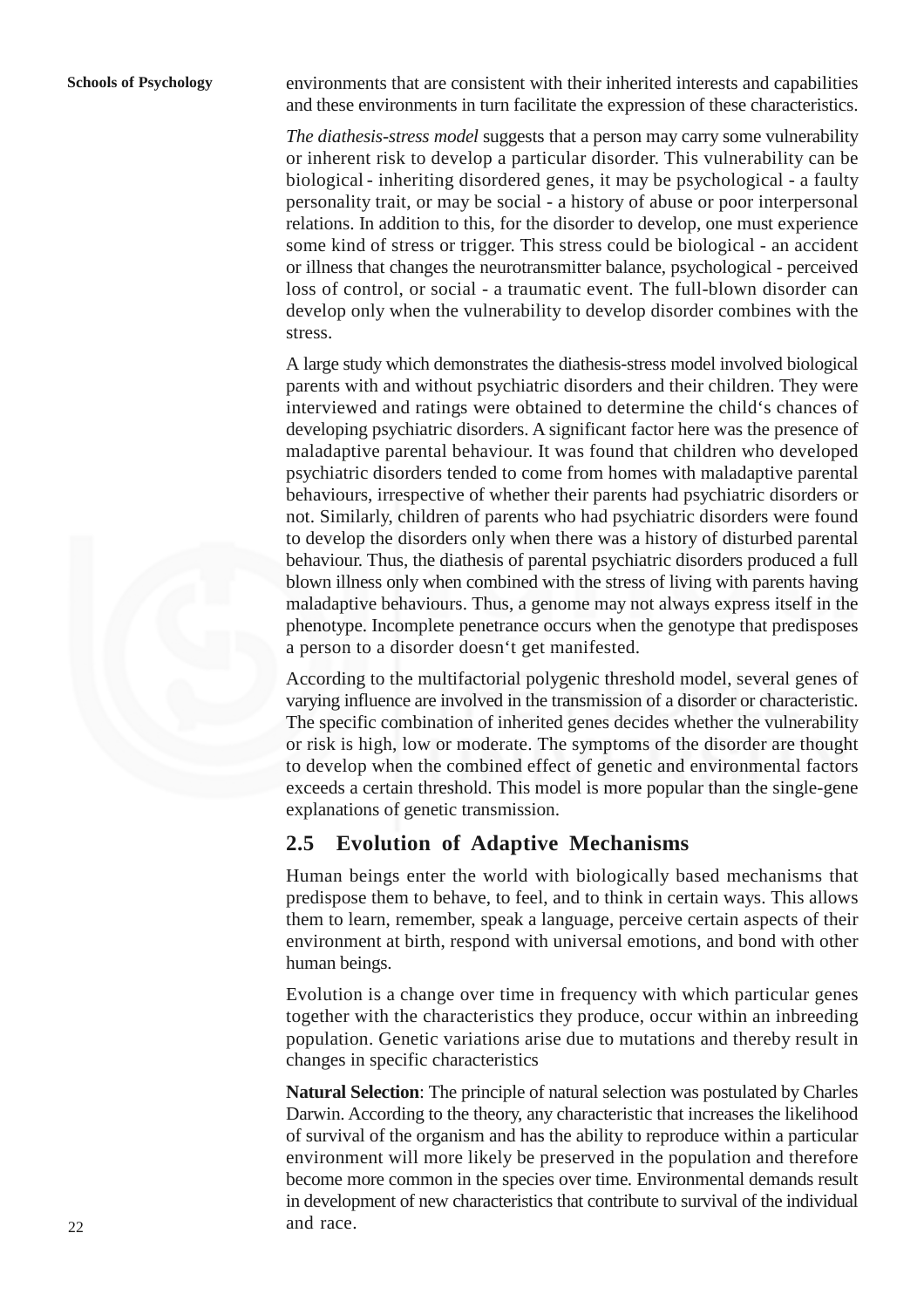environments that are consistent with their inherited interests and capabilities and these environments in turn facilitate the expression of these characteristics.

*The diathesis-stress model* suggests that a person may carry some vulnerability or inherent risk to develop a particular disorder. This vulnerability can be biological - inheriting disordered genes, it may be psychological - a faulty personality trait, or may be social - a history of abuse or poor interpersonal relations. In addition to this, for the disorder to develop, one must experience some kind of stress or trigger. This stress could be biological - an accident or illness that changes the neurotransmitter balance, psychological - perceived loss of control, or social - a traumatic event. The full-blown disorder can develop only when the vulnerability to develop disorder combines with the stress.

A large study which demonstrates the diathesis-stress model involved biological parents with and without psychiatric disorders and their children. They were interviewed and ratings were obtained to determine the child's chances of developing psychiatric disorders. A significant factor here was the presence of maladaptive parental behaviour. It was found that children who developed psychiatric disorders tended to come from homes with maladaptive parental behaviours, irrespective of whether their parents had psychiatric disorders or not. Similarly, children of parents who had psychiatric disorders were found to develop the disorders only when there was a history of disturbed parental behaviour. Thus, the diathesis of parental psychiatric disorders produced a full blown illness only when combined with the stress of living with parents having maladaptive behaviours. Thus, a genome may not always express itself in the phenotype. Incomplete penetrance occurs when the genotype that predisposes a person to a disorder doesn't get manifested.

According to the multifactorial polygenic threshold model, several genes of varying influence are involved in the transmission of a disorder or characteristic. The specific combination of inherited genes decides whether the vulnerability or risk is high, low or moderate. The symptoms of the disorder are thought to develop when the combined effect of genetic and environmental factors exceeds a certain threshold. This model is more popular than the single-gene explanations of genetic transmission.

### **2.5 Evolution of Adaptive Mechanisms**

Human beings enter the world with biologically based mechanisms that predispose them to behave, to feel, and to think in certain ways. This allows them to learn, remember, speak a language, perceive certain aspects of their environment at birth, respond with universal emotions, and bond with other human beings.

Evolution is a change over time in frequency with which particular genes together with the characteristics they produce, occur within an inbreeding population. Genetic variations arise due to mutations and thereby result in changes in specific characteristics

**Natural Selection**: The principle of natural selection was postulated by Charles Darwin. According to the theory, any characteristic that increases the likelihood of survival of the organism and has the ability to reproduce within a particular environment will more likely be preserved in the population and therefore become more common in the species over time. Environmental demands result in development of new characteristics that contribute to survival of the individual and race.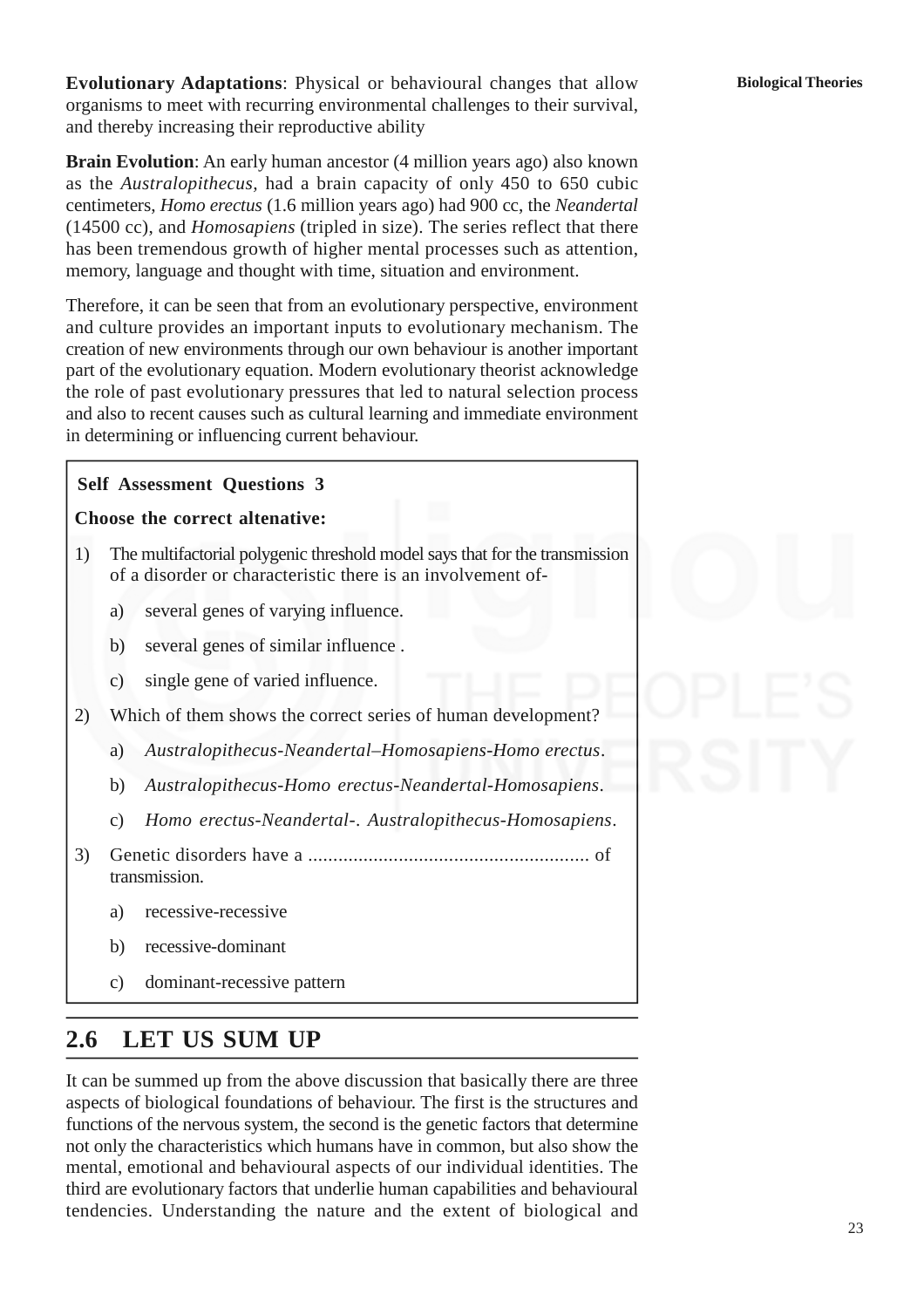**Evolutionary Adaptations**: Physical or behavioural changes that allow organisms to meet with recurring environmental challenges to their survival, and thereby increasing their reproductive ability

**Brain Evolution**: An early human ancestor (4 million years ago) also known as the *Australopithecus,* had a brain capacity of only 450 to 650 cubic centimeters, *Homo erectus* (1.6 million years ago) had 900 cc, the *Neandertal* (14500 cc), and *Homosapiens* (tripled in size). The series reflect that there has been tremendous growth of higher mental processes such as attention, memory, language and thought with time, situation and environment.

Therefore, it can be seen that from an evolutionary perspective, environment and culture provides an important inputs to evolutionary mechanism. The creation of new environments through our own behaviour is another important part of the evolutionary equation. Modern evolutionary theorist acknowledge the role of past evolutionary pressures that led to natural selection process and also to recent causes such as cultural learning and immediate environment in determining or influencing current behaviour.

### **Self Assessment Questions 3**

### **Choose the correct altenative:**

- 1) The multifactorial polygenic threshold model says that for the transmission of a disorder or characteristic there is an involvement of
	- a) several genes of varying influence.
	- b) several genes of similar influence .
	- c) single gene of varied influence.
- 2) Which of them shows the correct series of human development?
	- a) *Australopithecus*-*Neandertal*–*Homosapiens-Homo erectus*.
	- b) *Australopithecus*-*Homo erectus*-*Neandertal*-*Homosapiens*.
	- c) *Homo erectus*-*Neandertal*-. *Australopithecus*-*Homosapiens*.
- 3) Genetic disorders have a ........................................................ of transmission.
	- a) recessive-recessive
	- b) recessive-dominant
	- c) dominant-recessive pattern

# **2.6 LET US SUM UP**

It can be summed up from the above discussion that basically there are three aspects of biological foundations of behaviour. The first is the structures and functions of the nervous system, the second is the genetic factors that determine not only the characteristics which humans have in common, but also show the mental, emotional and behavioural aspects of our individual identities. The third are evolutionary factors that underlie human capabilities and behavioural tendencies. Understanding the nature and the extent of biological and